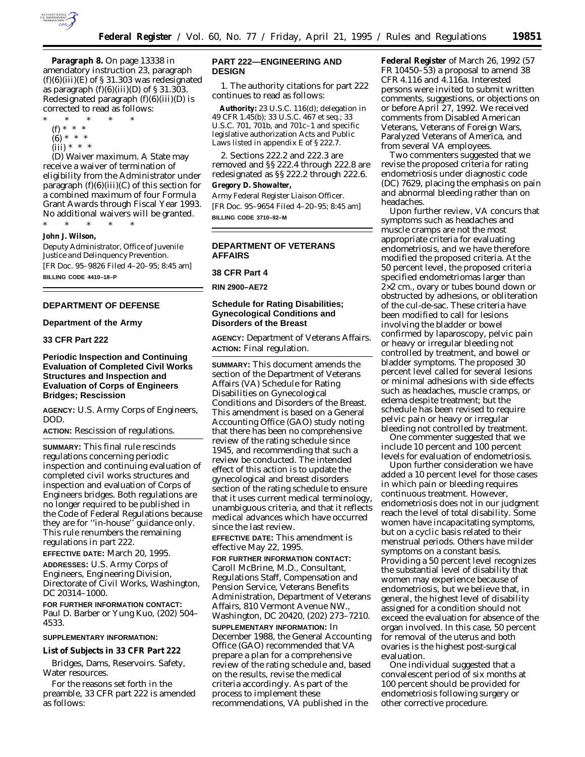

**Paragraph 8.** On page 13338 in amendatory instruction 23, paragraph  $(f)(6)(iii)(E)$  of § 31.303 was redesignated as paragraph  $(f)(6)(iii)(D)$  of § 31.303. Redesignated paragraph  $(f)(6)(iii)(D)$  is corrected to read as follows:

- \* \* \* \* \*
	- (f) \* \* \*
	- $(6) * * * *$
	- $(iii) * * * *$

(D) *Waiver maximum.* A State may receive a waiver of termination of eligibility from the Administrator under paragraph (f)(6)(iii)(C) of this section for a combined maximum of four Formula Grant Awards through Fiscal Year 1993. No additional waivers will be granted.

\* \* \* \* \*

# **John J. Wilson,**

*Deputy Administrator, Office of Juvenile Justice and Delinquency Prevention.* [FR Doc. 95–9826 Filed 4–20–95; 8:45 am] **BILLING CODE 4410–18–P**

### **DEPARTMENT OF DEFENSE**

**Department of the Army**

# **33 CFR Part 222**

## **Periodic Inspection and Continuing Evaluation of Completed Civil Works Structures and Inspection and Evaluation of Corps of Engineers Bridges; Rescission**

**AGENCY:** U.S. Army Corps of Engineers, DOD.

**ACTION:** Rescission of regulations.

**SUMMARY:** This final rule rescinds regulations concerning periodic inspection and continuing evaluation of completed civil works structures and inspection and evaluation of Corps of Engineers bridges. Both regulations are no longer required to be published in the Code of Federal Regulations because they are for ''in-house'' guidance only. This rule renumbers the remaining regulations in part 222.

**EFFECTIVE DATE:** March 20, 1995.

**ADDRESSES:** U.S. Army Corps of Engineers, Engineering Division, Directorate of Civil Works, Washington, DC 20314–1000.

**FOR FURTHER INFORMATION CONTACT:** Paul D. Barber or Yung Kuo, (202) 504– 4533.

#### **SUPPLEMENTARY INFORMATION:**

# **List of Subjects in 33 CFR Part 222**

Bridges, Dams, Reservoirs. Safety, Water resources.

For the reasons set forth in the preamble, 33 CFR part 222 is amended as follows:

## **PART 222—ENGINEERING AND DESIGN**

1. The authority citations for part 222 continues to read as follows:

**Authority:** 23 U.S.C. 116(d); delegation in 49 CFR 1.45(b); 33 U.S.C. 467 et seq.; 33 U.S.C. 701, 701b, and 701c–1 and specific legislative authorization Acts and Public Laws listed in appendix E of § 222.7.

2. Sections 222.2 and 222.3 are removed and §§ 222.4 through 222.8 are redesignated as §§ 222.2 through 222.6. **Gregory D. Showalter,**

*Army Federal Register Liaison Officer.* [FR Doc. 95–9654 Filed 4–20–95; 8:45 am] **BILLING CODE 3710–92–M**

### **DEPARTMENT OF VETERANS AFFAIRS**

### **38 CFR Part 4**

**RIN 2900–AE72**

# **Schedule for Rating Disabilities; Gynecological Conditions and Disorders of the Breast**

**AGENCY:** Department of Veterans Affairs. **ACTION:** Final regulation.

**SUMMARY:** This document amends the section of the Department of Veterans Affairs (VA) Schedule for Rating Disabilities on Gynecological Conditions and Disorders of the Breast. This amendment is based on a General Accounting Office (GAO) study noting that there has been no comprehensive review of the rating schedule since 1945, and recommending that such a review be conducted. The intended effect of this action is to update the gynecological and breast disorders section of the rating schedule to ensure that it uses current medical terminology, unambiguous criteria, and that it reflects medical advances which have occurred since the last review.

**EFFECTIVE DATE:** This amendment is effective May 22, 1995.

**FOR FURTHER INFORMATION CONTACT:** Caroll McBrine, M.D., Consultant, Regulations Staff, Compensation and Pension Service, Veterans Benefits Administration, Department of Veterans Affairs, 810 Vermont Avenue NW., Washington, DC 20420, (202) 273–7210.

**SUPPLEMENTARY INFORMATION:** In December 1988, the General Accounting Office (GAO) recommended that VA prepare a plan for a comprehensive review of the rating schedule and, based on the results, revise the medical criteria accordingly. As part of the process to implement these recommendations, VA published in the

**Federal Register** of March 26, 1992 (57 FR 10450–53) a proposal to amend 38 CFR 4.116 and 4.116a. Interested persons were invited to submit written comments, suggestions, or objections on or before April 27, 1992. We received comments from Disabled American Veterans, Veterans of Foreign Wars, Paralyzed Veterans of America, and from several VA employees.

Two commenters suggested that we revise the proposed criteria for rating endometriosis under diagnostic code (DC) 7629, placing the emphasis on pain and abnormal bleeding rather than on headaches.

Upon further review, VA concurs that symptoms such as headaches and muscle cramps are not the most appropriate criteria for evaluating endometriosis, and we have therefore modified the proposed criteria. At the 50 percent level, the proposed criteria specified endometriomas larger than 2×2 cm., ovary or tubes bound down or obstructed by adhesions, or obliteration of the cul-de-sac. These criteria have been modified to call for lesions involving the bladder or bowel confirmed by laparoscopy, pelvic pain or heavy or irregular bleeding not controlled by treatment, and bowel or bladder symptoms. The proposed 30 percent level called for several lesions or minimal adhesions with side effects such as headaches, muscle cramps, or edema despite treatment; but the schedule has been revised to require pelvic pain or heavy or irregular bleeding not controlled by treatment.

One commenter suggested that we include 10 percent and 100 percent levels for evaluation of endometriosis.

Upon further consideration we have added a 10 percent level for those cases in which pain or bleeding requires continuous treatment. However, endometriosis does not in our judgment reach the level of total disability. Some women have incapacitating symptoms, but on a cyclic basis related to their menstrual periods. Others have milder symptoms on a constant basis. Providing a 50 percent level recognizes the substantial level of disability that women may experience because of endometriosis, but we believe that, in general, the highest level of disability assigned for a condition should not exceed the evaluation for absence of the organ involved. In this case, 50 percent for removal of the uterus and both ovaries is the highest post-surgical evaluation.

One individual suggested that a convalescent period of six months at 100 percent should be provided for endometriosis following surgery or other corrective procedure.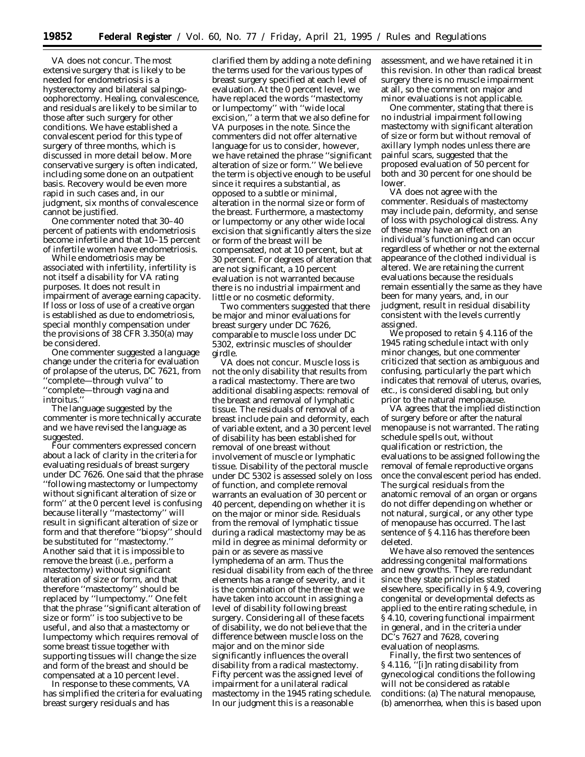VA does not concur. The most extensive surgery that is likely to be needed for endometriosis is a hysterectomy and bilateral salpingooophorectomy. Healing, convalescence, and residuals are likely to be similar to those after such surgery for other conditions. We have established a convalescent period for this type of surgery of three months, which is discussed in more detail below. More conservative surgery is often indicated, including some done on an outpatient basis. Recovery would be even more rapid in such cases and, in our judgment, six months of convalescence cannot be justified.

One commenter noted that 30–40 percent of patients with endometriosis become infertile and that 10–15 percent of infertile women have endometriosis.

While endometriosis may be associated with infertility, infertility is not itself a disability for VA rating purposes. It does not result in impairment of average earning capacity. If loss or loss of use of a creative organ is established as due to endometriosis, special monthly compensation under the provisions of 38 CFR 3.350(a) may be considered.

One commenter suggested a language change under the criteria for evaluation of prolapse of the uterus, DC 7621, from ''complete—through vulva'' to ''complete—through vagina and introitus.''

The language suggested by the commenter is more technically accurate and we have revised the language as suggested.

Four commenters expressed concern about a lack of clarity in the criteria for evaluating residuals of breast surgery under DC 7626. One said that the phrase ''following mastectomy or lumpectomy without significant alteration of size or form'' at the 0 percent level is confusing because literally ''mastectomy'' will result in significant alteration of size or form and that therefore ''biopsy'' should be substituted for ''mastectomy.'' Another said that it is impossible to remove the breast (i.e., perform a mastectomy) without significant alteration of size or form, and that therefore ''mastectomy'' should be replaced by ''lumpectomy.'' One felt that the phrase ''significant alteration of size or form'' is too subjective to be useful, and also that a mastectomy or lumpectomy which requires removal of some breast tissue together with supporting tissues will change the size and form of the breast and should be compensated at a 10 percent level.

In response to these comments, VA has simplified the criteria for evaluating breast surgery residuals and has

clarified them by adding a note defining the terms used for the various types of breast surgery specified at each level of evaluation. At the 0 percent level, we have replaced the words ''mastectomy or lumpectomy'' with ''wide local excision,'' a term that we also define for VA purposes in the note. Since the commenters did not offer alternative language for us to consider, however, we have retained the phrase ''significant alteration of size or form.'' We believe the term is objective enough to be useful since it requires a substantial, as opposed to a subtle or minimal, alteration in the normal size or form of the breast. Furthermore, a mastectomy or lumpectomy or any other wide local excision that significantly alters the size or form of the breast will be compensated, not at 10 percent, but at 30 percent. For degrees of alteration that are not significant, a 10 percent evaluation is not warranted because there is no industrial impairment and little or no cosmetic deformity.

Two commenters suggested that there be major and minor evaluations for breast surgery under DC 7626, comparable to muscle loss under DC 5302, extrinsic muscles of shoulder girdle.

VA does not concur. Muscle loss is not the only disability that results from a radical mastectomy. There are two additional disabling aspects: removal of the breast and removal of lymphatic tissue. The residuals of removal of a breast include pain and deformity, each of variable extent, and a 30 percent level of disability has been established for removal of one breast without involvement of muscle or lymphatic tissue. Disability of the pectoral muscle under DC 5302 is assessed solely on loss of function, and complete removal warrants an evaluation of 30 percent or 40 percent, depending on whether it is on the major or minor side. Residuals from the removal of lymphatic tissue during a radical mastectomy may be as mild in degree as minimal deformity or pain or as severe as massive lymphedema of an arm. Thus the residual disability from each of the three elements has a range of severity, and it is the combination of the three that we have taken into account in assigning a level of disability following breast surgery. Considering all of these facets of disability, we do not believe that the difference between muscle loss on the major and on the minor side significantly influences the overall disability from a radical mastectomy. Fifty percent was the assigned level of impairment for a unilateral radical mastectomy in the 1945 rating schedule. In our judgment this is a reasonable

assessment, and we have retained it in this revision. In other than radical breast surgery there is no muscle impairment at all, so the comment on major and minor evaluations is not applicable.

One commenter, stating that there is no industrial impairment following mastectomy with significant alteration of size or form but without removal of axillary lymph nodes unless there are painful scars, suggested that the proposed evaluation of 50 percent for both and 30 percent for one should be lower.

VA does not agree with the commenter. Residuals of mastectomy may include pain, deformity, and sense of loss with psychological distress. Any of these may have an effect on an individual's functioning and can occur regardless of whether or not the external appearance of the clothed individual is altered. We are retaining the current evaluations because the residuals remain essentially the same as they have been for many years, and, in our judgment, result in residual disability consistent with the levels currently assigned.

We proposed to retain § 4.116 of the 1945 rating schedule intact with only minor changes, but one commenter criticized that section as ambiguous and confusing, particularly the part which indicates that removal of uterus, ovaries, etc., is considered disabling, but only prior to the natural menopause.

VA agrees that the implied distinction of surgery before or after the natural menopause is not warranted. The rating schedule spells out, without qualification or restriction, the evaluations to be assigned following the removal of female reproductive organs once the convalescent period has ended. The surgical residuals from the anatomic removal of an organ or organs do not differ depending on whether or not natural, surgical, or any other type of menopause has occurred. The last sentence of § 4.116 has therefore been deleted.

We have also removed the sentences addressing congenital malformations and new growths. They are redundant since they state principles stated elsewhere, specifically in § 4.9, covering congenital or developmental defects as applied to the entire rating schedule, in § 4.10, covering functional impairment in general, and in the criteria under DC's 7627 and 7628, covering evaluation of neoplasms.

Finally, the first two sentences of § 4.116, "[i]n rating disability from gynecological conditions the following will not be considered as ratable conditions: (a) The natural menopause, (b) amenorrhea, when this is based upon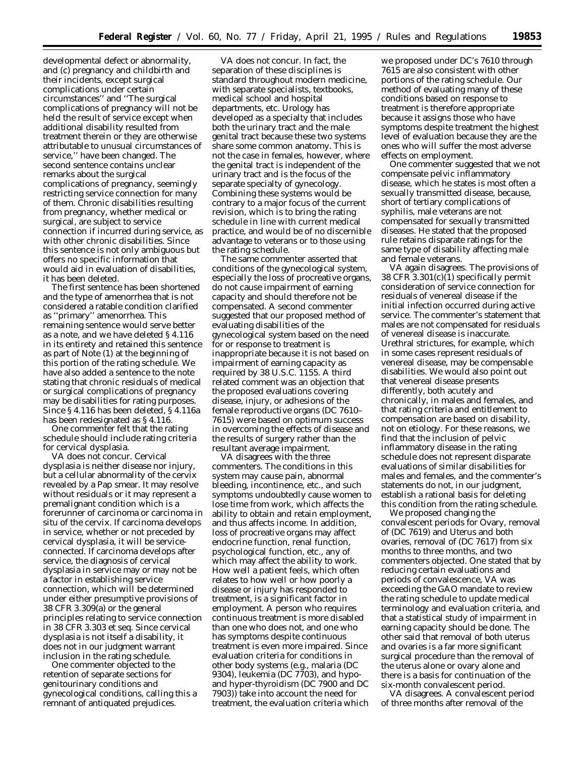developmental defect or abnormality, and (c) pregnancy and childbirth and their incidents, except surgical complications under certain circumstances'' and ''The surgical complications of pregnancy will not be held the result of service except when additional disability resulted from treatment therein or they are otherwise attributable to unusual circumstances of service,'' have been changed. The second sentence contains unclear remarks about the surgical complications of pregnancy, seemingly restricting service connection for many of them. Chronic disabilities resulting from pregnancy, whether medical or surgical, are subject to service connection if incurred during service, as with other chronic disabilities. Since this sentence is not only ambiguous but offers no specific information that would aid in evaluation of disabilities, it has been deleted.

The first sentence has been shortened and the type of amenorrhea that is not considered a ratable condition clarified as ''primary'' amenorrhea. This remaining sentence would serve better as a note, and we have deleted § 4.116 in its entirety and retained this sentence as part of Note (1) at the beginning of this portion of the rating schedule. We have also added a sentence to the note stating that chronic residuals of medical or surgical complications of pregnancy may be disabilities for rating purposes. Since § 4.116 has been deleted, § 4.116a has been redesignated as § 4.116.

One commenter felt that the rating schedule should include rating criteria for cervical dysplasia.

VA does not concur. Cervical dysplasia is neither disease nor injury, but a cellular abnormality of the cervix revealed by a Pap smear. It may resolve without residuals or it may represent a premalignant condition which is a forerunner of carcinoma or carcinoma in situ of the cervix. If carcinoma develops in service, whether or not preceded by cervical dysplasia, it will be serviceconnected. If carcinoma develops after service, the diagnosis of cervical dysplasia in service may or may not be a factor in establishing service connection, which will be determined under either presumptive provisions of 38 CFR 3.309(a) or the general principles relating to service connection in 38 CFR 3.303 *et seq.* Since cervical dysplasia is not itself a disability, it does not in our judgment warrant inclusion in the rating schedule.

One commenter objected to the retention of separate sections for genitourinary conditions and gynecological conditions, calling this a remnant of antiquated prejudices.

VA does not concur. In fact, the separation of these disciplines is standard throughout modern medicine, with separate specialists, textbooks, medical school and hospital departments, etc. Urology has developed as a specialty that includes both the urinary tract and the male genital tract because these two systems share some common anatomy. This is not the case in females, however, where the genital tract is independent of the urinary tract and is the focus of the separate specialty of gynecology. Combining these systems would be contrary to a major focus of the current revision, which is to bring the rating schedule in line with current medical practice, and would be of no discernible advantage to veterans or to those using the rating schedule.

The same commenter asserted that conditions of the gynecological system, especially the loss of procreative organs, do not cause impairment of earning capacity and should therefore not be compensated. A second commenter suggested that our proposed method of evaluating disabilities of the gynecological system based on the need for or response to treatment is inappropriate because it is not based on impairment of earning capacity as required by 38 U.S.C. 1155. A third related comment was an objection that the proposed evaluations covering disease, injury, or adhesions of the female reproductive organs (DC 7610– 7615) were based on optimum success in overcoming the effects of disease and the results of surgery rather than the resultant average impairment.

VA disagrees with the three commenters. The conditions in this system may cause pain, abnormal bleeding, incontinence, etc., and such symptoms undoubtedly cause women to lose time from work, which affects the ability to obtain and retain employment, and thus affects income. In addition, loss of procreative organs may affect endocrine function, renal function, psychological function, etc., any of which may affect the ability to work. How well a patient feels, which often relates to how well or how poorly a disease or injury has responded to treatment, is a significant factor in employment. A person who requires continuous treatment is more disabled than one who does not, and one who has symptoms despite continuous treatment is even more impaired. Since evaluation criteria for conditions in other body systems (e.g., malaria (DC 9304), leukemia (DC 7703), and hypoand hyper-thyroidism (DC 7900 and DC 7903)) take into account the need for treatment, the evaluation criteria which

we proposed under DC's 7610 through 7615 are also consistent with other portions of the rating schedule. Our method of evaluating many of these conditions based on response to treatment is therefore appropriate because it assigns those who have symptoms despite treatment the highest level of evaluation because they are the ones who will suffer the most adverse effects on employment.

One commenter suggested that we not compensate pelvic inflammatory disease, which he states is most often a sexually transmitted disease, because, short of tertiary complications of syphilis, male veterans are not compensated for sexually transmitted diseases. He stated that the proposed rule retains disparate ratings for the same type of disability affecting male and female veterans.

VA again disagrees. The provisions of 38 CFR 3.301(c)(1) specifically permit consideration of service connection for residuals of venereal disease if the initial infection occurred during active service. The commenter's statement that males are not compensated for residuals of venereal disease is inaccurate. Urethral strictures, for example, which in some cases represent residuals of venereal disease, may be compensable disabilities. We would also point out that venereal disease presents differently, both acutely and chronically, in males and females, and that rating criteria and entitlement to compensation are based on disability, not on etiology. For these reasons, we find that the inclusion of pelvic inflammatory disease in the rating schedule does not represent disparate evaluations of similar disabilities for males and females, and the commenter's statements do not, in our judgment, establish a rational basis for deleting this condition from the rating schedule.

We proposed changing the convalescent periods for Ovary, removal of (DC 7619) and Uterus and both ovaries, removal of (DC 7617) from six months to three months, and two commenters objected. One stated that by reducing certain evaluations and periods of convalescence, VA was exceeding the GAO mandate to review the rating schedule to update medical terminology and evaluation criteria, and that a statistical study of impairment in earning capacity should be done. The other said that removal of both uterus and ovaries is a far more significant surgical procedure than the removal of the uterus alone or ovary alone and there is a basis for continuation of the six-month convalescent period.

VA disagrees. A convalescent period of three months after removal of the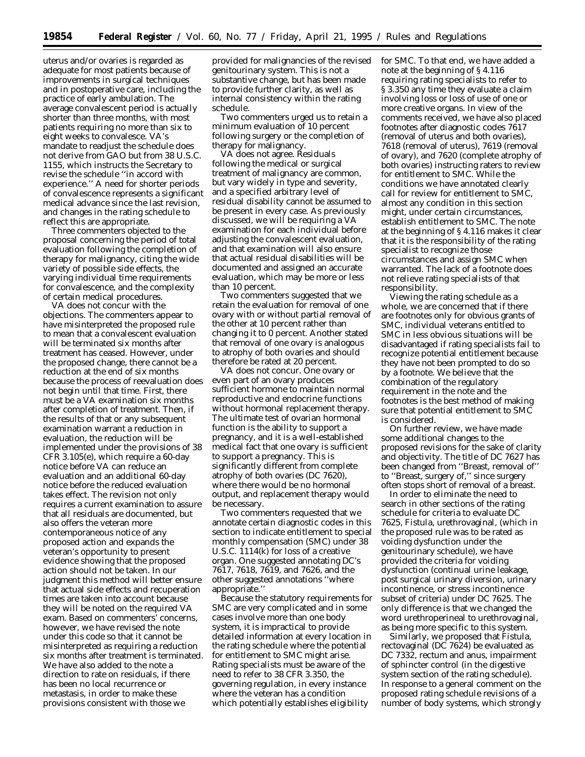uterus and/or ovaries is regarded as adequate for most patients because of improvements in surgical techniques and in postoperative care, including the practice of early ambulation. The average convalescent period is actually shorter than three months, with most patients requiring no more than six to eight weeks to convalesce. VA's mandate to readjust the schedule does not derive from GAO but from 38 U.S.C. 1155, which instructs the Secretary to revise the schedule ''in accord with experience.'' A need for shorter periods of convalescence represents a significant medical advance since the last revision, and changes in the rating schedule to reflect this are appropriate.

Three commenters objected to the proposal concerning the period of total evaluation following the completion of therapy for malignancy, citing the wide variety of possible side effects, the varying individual time requirements for convalescence, and the complexity of certain medical procedures.

VA does not concur with the objections. The commenters appear to have misinterpreted the proposed rule to mean that a convalescent evaluation will be terminated six months after treatment has ceased. However, under the proposed change, there cannot be a reduction at the end of six months because the process of reevaluation does not begin until that time. First, there must be a VA examination six months after completion of treatment. Then, if the results of that or any subsequent examination warrant a reduction in evaluation, the reduction will be implemented under the provisions of 38 CFR 3.105(e), which require a 60-day notice before VA can reduce an evaluation and an additional 60-day notice before the reduced evaluation takes effect. The revision not only requires a current examination to assure that all residuals are documented, but also offers the veteran more contemporaneous notice of any proposed action and expands the veteran's opportunity to present evidence showing that the proposed action should not be taken. In our judgment this method will better ensure that actual side effects and recuperation times are taken into account because they will be noted on the required VA exam. Based on commenters' concerns, however, we have revised the note under this code so that it cannot be misinterpreted as requiring a reduction six months after treatment is terminated. We have also added to the note a direction to rate on residuals, if there has been no local recurrence or metastasis, in order to make these provisions consistent with those we

provided for malignancies of the revised genitourinary system. This is not a substantive change, but has been made to provide further clarity, as well as internal consistency within the rating schedule.

Two commenters urged us to retain a minimum evaluation of 10 percent following surgery or the completion of therapy for malignancy.

VA does not agree. Residuals following the medical or surgical treatment of malignancy are common, but vary widely in type and severity, and a specified arbitrary level of residual disability cannot be assumed to be present in every case. As previously discussed, we will be requiring a VA examination for each individual before adjusting the convalescent evaluation, and that examination will also ensure that actual residual disabilities will be documented and assigned an accurate evaluation, which may be more or less than 10 percent.

Two commenters suggested that we retain the evaluation for removal of one ovary with or without partial removal of the other at 10 percent rather than changing it to 0 percent. Another stated that removal of one ovary is analogous to atrophy of both ovaries and should therefore be rated at 20 percent.

VA does not concur. One ovary or even part of an ovary produces sufficient hormone to maintain normal reproductive and endocrine functions without hormonal replacement therapy. The ultimate test of ovarian hormonal function is the ability to support a pregnancy, and it is a well-established medical fact that one ovary is sufficient to support a pregnancy. This is significantly different from complete atrophy of both ovaries (DC 7620), where there would be no hormonal output, and replacement therapy would be necessary.

Two commenters requested that we annotate certain diagnostic codes in this section to indicate entitlement to special monthly compensation (SMC) under 38 U.S.C. 1114(k) for loss of a creative organ. One suggested annotating DC's 7617, 7618, 7619, and 7626, and the other suggested annotations ''where appropriate.''

Because the statutory requirements for SMC are very complicated and in some cases involve more than one body system, it is impractical to provide detailed information at every location in the rating schedule where the potential for entitlement to SMC might arise. Rating specialists must be aware of the need to refer to 38 CFR 3.350, the governing regulation, in every instance where the veteran has a condition which potentially establishes eligibility

for SMC. To that end, we have added a note at the beginning of § 4.116 requiring rating specialists to refer to § 3.350 any time they evaluate a claim involving loss or loss of use of one or more creative organs. In view of the comments received, we have also placed footnotes after diagnostic codes 7617 (removal of uterus and both ovaries), 7618 (removal of uterus), 7619 (removal of ovary), and 7620 (complete atrophy of both ovaries) instructing raters to review for entitlement to SMC. While the conditions we have annotated clearly call for review for entitlement to SMC, almost any condition in this section might, under certain circumstances, establish entitlement to SMC. The note at the beginning of § 4.116 makes it clear that it is the responsibility of the rating specialist to recognize those circumstances and assign SMC when warranted. The lack of a footnote does not relieve rating specialists of that responsibility.

Viewing the rating schedule as a whole, we are concerned that if there are footnotes only for obvious grants of SMC, individual veterans entitled to SMC in less obvious situations will be disadvantaged if rating specialists fail to recognize potential entitlement because they have not been prompted to do so by a footnote. We believe that the combination of the regulatory requirement in the note and the footnotes is the best method of making sure that potential entitlement to SMC is considered.

On further review, we have made some additional changes to the proposed revisions for the sake of clarity and objectivity. The title of DC 7627 has been changed from ''Breast, removal of'' to ''Breast, surgery of,'' since surgery often stops short of removal of a breast.

In order to eliminate the need to search in other sections of the rating schedule for criteria to evaluate DC 7625, Fistula, urethrovaginal, (which in the proposed rule was to be rated as voiding dysfunction under the genitourinary schedule), we have provided the criteria for voiding dysfunction (continual urine leakage, post surgical urinary diversion, urinary incontinence, or stress incontinence subset of criteria) under DC 7625. The only difference is that we changed the word urethroperineal to urethrovaginal, as being more specific to this system.

Similarly, we proposed that Fistula, rectovaginal (DC 7624) be evaluated as DC 7332, rectum and anus, impairment of sphincter control (in the digestive system section of the rating schedule). In response to a general comment on the proposed rating schedule revisions of a number of body systems, which strongly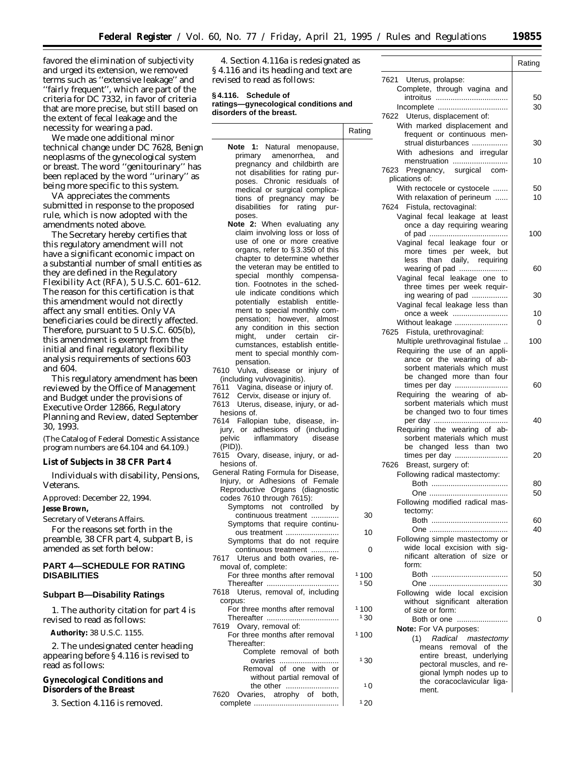favored the elimination of subjectivity and urged its extension, we removed terms such as ''extensive leakage'' and ''fairly frequent'', which are part of the criteria for DC 7332, in favor of criteria that are more precise, but still based on the extent of fecal leakage and the necessity for wearing a pad.

We made one additional minor technical change under DC 7628, Benign neoplasms of the gynecological system or breast. The word ''genitourinary'' has been replaced by the word ''urinary'' as being more specific to this system.

VA appreciates the comments submitted in response to the proposed rule, which is now adopted with the amendments noted above.

The Secretary hereby certifies that this regulatory amendment will not have a significant economic impact on a substantial number of small entities as they are defined in the Regulatory Flexibility Act (RFA), 5 U.S.C. 601–612. The reason for this certification is that this amendment would not directly affect any small entities. Only VA beneficiaries could be directly affected. Therefore, pursuant to 5 U.S.C. 605(b), this amendment is exempt from the initial and final regulatory flexibility analysis requirements of sections 603 and 604.

This regulatory amendment has been reviewed by the Office of Management and Budget under the provisions of Executive Order 12866, Regulatory Planning and Review, dated September 30, 1993.

(The Catalog of Federal Domestic Assistance program numbers are 64.104 and 64.109.)

### **List of Subjects in 38 CFR Part 4**

Individuals with disability, Pensions, Veterans.

Approved: December 22, 1994.

**Jesse Brown,**

*Secretary of Veterans Affairs.*

For the reasons set forth in the preamble, 38 CFR part 4, subpart B, is amended as set forth below:

# **PART 4—SCHEDULE FOR RATING DISABILITIES**

#### **Subpart B—Disability Ratings**

1. The authority citation for part 4 is revised to read as follows:

**Authority:** 38 U.S.C. 1155.

2. The undesignated center heading appearing before § 4.116 is revised to read as follows:

### **Gynecological Conditions and Disorders of the Breast**

3. Section 4.116 is removed.

4. Section 4.116a is redesignated as § 4.116 and its heading and text are revised to read as follows:

#### **§ 4.116. Schedule of ratings—gynecological conditions and disorders of the breast.**

|                                                                                                           | Rating |
|-----------------------------------------------------------------------------------------------------------|--------|
| Note 1: Natural menopause,                                                                                |        |
| primary amenorrhea,<br>and                                                                                |        |
| pregnancy and childbirth are                                                                              |        |
| not disabilities for rating pur-                                                                          |        |
| poses. Chronic residuals<br>οf                                                                            |        |
| medical or surgical complica-                                                                             |        |
| tions of pregnancy may be<br>disabilities for rating                                                      |        |
| pur-<br>poses.                                                                                            |        |
| <b>Note 2:</b> When evaluating any                                                                        |        |
| claim involving loss or loss of                                                                           |        |
| use of one or more creative                                                                               |        |
| organs, refer to §3.350 of this                                                                           |        |
| chapter to determine whether                                                                              |        |
| the veteran may be entitled to                                                                            |        |
| special monthly compensa-                                                                                 |        |
| tion. Footnotes in the sched-                                                                             |        |
| ule indicate conditions which                                                                             |        |
| potentially establish entitle-                                                                            |        |
| ment to special monthly com-                                                                              |        |
| pensation; however, almost                                                                                |        |
| any condition in this section                                                                             |        |
| might,<br>under<br>certain<br>cir-                                                                        |        |
| cumstances, establish entitle-                                                                            |        |
| ment to special monthly com-<br>pensation.                                                                |        |
| 7610<br>Vulva, disease or injury of                                                                       |        |
| (including vulvovaginitis).                                                                               |        |
|                                                                                                           |        |
| 7611 Vagina, disease or injury of.<br>7612 Cervix, disease or injury of.<br>Cervix, disease or injury of. |        |
| 7613 Uterus, disease, injury, or ad-                                                                      |        |
| hesions of.                                                                                               |        |
| 7614 Fallopian tube, disease, in-                                                                         |        |
| jury, or adhesions of (including                                                                          |        |
| pelvic<br>inflammatory<br>disease                                                                         |        |
| (PID)).                                                                                                   |        |
| 7615 Ovary, disease, injury, or ad-                                                                       |        |
| hesions of.                                                                                               |        |
| General Rating Formula for Disease,<br>Injury, or Adhesions of Female                                     |        |
| Reproductive Organs (diagnostic                                                                           |        |
| codes 7610 through 7615):                                                                                 |        |
| Symptoms<br>not controlled by                                                                             |        |
| continuous treatment                                                                                      | 30     |
| Symptoms that require continu-                                                                            |        |
| ous treatment                                                                                             | 10     |
| Symptoms that do not require                                                                              |        |
| continuous treatment                                                                                      | 0      |
| 7617 Uterus and both ovaries, re-                                                                         |        |
| moval of, complete:                                                                                       |        |
| For three months after removal                                                                            | 1100   |
| 7618 Uterus, removal of, including                                                                        | 150    |
| corpus:                                                                                                   |        |
| For three months after removal                                                                            | 1100   |
|                                                                                                           | 130    |
| 7619 Ovary, removal of:                                                                                   |        |
| For three months after removal                                                                            | 1100   |
| Thereafter:                                                                                               |        |
| Complete removal of both                                                                                  |        |
| ovaries                                                                                                   | 130    |
| Removal of one with or                                                                                    |        |
| without partial removal of                                                                                |        |
| the other                                                                                                 | 10     |
| 7620 Ovaries, atrophy of both,                                                                            | 120    |
|                                                                                                           |        |

Rating 7621 Uterus, prolapse: Complete, through vagina and introitus .................................. 50 Incomplete ................................. 30 7622 Uterus, displacement of: With marked displacement and frequent or continuous menstrual disturbances ................. 30 With adhesions and irregular menstruation .......................... 10 7623 Pregnancy, surgical complications of: With rectocele or cystocele ....... | 50 With relaxation of perineum ...... | 10 7624 Fistula, rectovaginal: Vaginal fecal leakage at least once a day requiring wearing of pad ..................................... 100 Vaginal fecal leakage four or more times per week, but less than daily, requiring wearing of pad ....................... 60 Vaginal fecal leakage one to three times per week requiring wearing of pad ................. 30 Vaginal fecal leakage less than once a week .......................... 10 Without leakage ......................... 0 7625 Fistula, urethrovaginal: Multiple urethrovaginal fistulae  $\ldots$  100 Requiring the use of an appliance or the wearing of absorbent materials which must be changed more than four times per day ......................... 60 Requiring the wearing of absorbent materials which must be changed two to four times per day ................................... 40 Requiring the wearing of absorbent materials which must be changed less than two times per day ......................... 20 7626 Breast, surgery of: Following radical mastectomy: Both .................................... 80 One ..................................... 50 Following modified radical mastectomy: Both .................................... 60 One ..................................... 40 Following simple mastectomy or wide local excision with significant alteration of size or form: Both .................................... 50 One ..................................... 30 Following wide local excision without significant alteration of size or form: Both or one ........................ 0 **Note:** For VA purposes: (1) Radical mastectomy means removal of the entire breast, underlying pectoral muscles, and regional lymph nodes up to the coracoclavicular ligament.